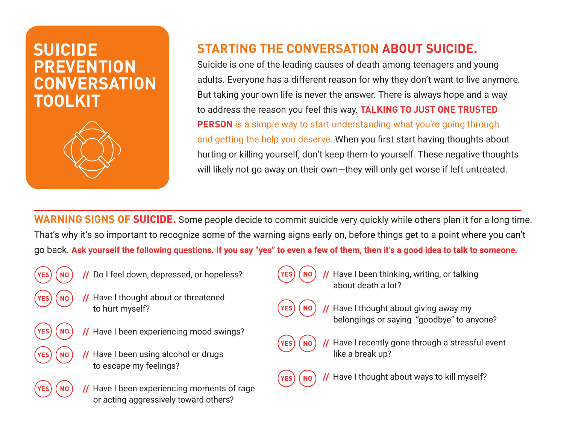# **SUICIDE PREVENTION CONVERSATION TOOLKIT**



## **STARTING THE CONVERSATION ABOUT SUICIDE.**

Suicide is one of the leading causes of death among teenagers and young adults. Everyone has a different reason for why they don't want to live anymore. But taking your own life is never the answer. There is always hope and a way to address the reason you feel this way. **TALKING TO JUST ONE TRUSTED PERSON** is a simple way to start understanding what you're going through and getting the help you deserve. When you first start having thoughts about hurting or killing yourself, don't keep them to yourself. These negative thoughts will likely not go away on their own—they will only get worse if left untreated.

**WARNING SIGNS OF SUICIDE.** Some people decide to commit suicide very quickly while others plan it for a long time. That's why it's so important to recognize some of the warning signs early on, before things get to a point where you can't go back. **Ask yourself the following questions. If you say "yes" to even a few of them, then it's a good idea to talk to someone.**

- - **//** Do I feel down, depressed, or hopeless?
		- **//** Have I thought about or threatened to hurt myself?
	- **//** Have I been experiencing mood swings?
		- **//** Have I been using alcohol or drugs to escape my feelings?
		- **//** Have I been experiencing moments of rage or acting aggressively toward others?
- 
- **//** Have I been thinking, writing, or talking about death a lot?
- 
- **//** Have I thought about giving away my belongings or saying "goodbye" to anyone?



Have I recently gone through a stressful event like a break up?



**//** Have I thought about ways to kill myself?